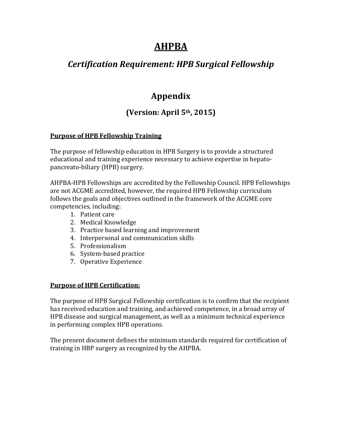# **AHPBA**

## *Certification Requirement: HPB Surgical Fellowship*

# **Appendix**

# **(Version: April 5th, 2015)**

### **Purpose of HPB Fellowship Training**

The purpose of fellowship education in HPB Surgery is to provide a structured educational and training experience necessary to achieve expertise in hepatopancreato-biliary (HPB) surgery.

AHPBA-HPB Fellowships are accredited by the Fellowship Council. HPB Fellowships are not ACGME accredited, however, the required HPB Fellowship curriculum follows the goals and objectives outlined in the framework of the ACGME core competencies, including:

- 1. Patient care
- 2. Medical Knowledge
- 3. Practice based learning and improvement
- 4. Interpersonal and communication skills
- 5. Professionalism
- 6. System-based practice
- 7. Operative Experience

#### **Purpose of HPB Certification:**

The purpose of HPB Surgical Fellowship certification is to confirm that the recipient has received education and training, and achieved competence, in a broad array of HPB disease and surgical management, as well as a minimum technical experience in performing complex HPB operations.

The present document defines the minimum standards required for certification of training in HBP surgery as recognized by the AHPBA.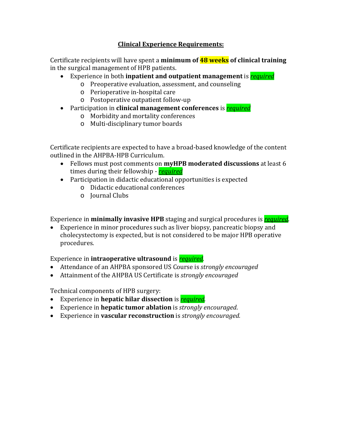### **Clinical Experience Requirements:**

Certificate recipients will have spent a **minimum of 48 weeks of clinical training** in the surgical management of HPB patients.

- Experience in both **inpatient and outpatient management** is *required*
	- o Preoperative evaluation, assessment, and counseling
	- o Perioperative in-hospital care
	- o Postoperative outpatient follow-up
- Participation in **clinical management conferences** is *required*
	- o Morbidity and mortality conferences
	- o Multi-disciplinary tumor boards

Certificate recipients are expected to have a broad-based knowledge of the content outlined in the AHPBA-HPB Curriculum.

- Fellows must post comments on **myHPB moderated discussions** at least 6 times during their fellowship - *required*
- Participation in didactic educational opportunities is expected
	- o Didactic educational conferences
	- o Journal Clubs

Experience in **minimally invasive HPB** staging and surgical procedures is *required*.

• Experience in minor procedures such as liver biopsy, pancreatic biopsy and cholecystectomy is expected, but is not considered to be major HPB operative procedures.

Experience in **intraoperative ultrasound** is *required.*

- Attendance of an AHPBA sponsored US Course is *strongly encouraged*
- Attainment of the AHPBA US Certificate is *strongly encouraged*

Technical components of HPB surgery:

- Experience in **hepatic hilar dissection** is *required.*
- Experience in **hepatic tumor ablation** is *strongly encouraged*.
- Experience in **vascular reconstruction** is *strongly encouraged.*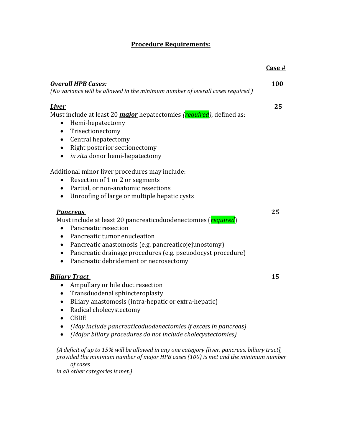## **Procedure Requirements:**

|                                                                                                                                                                                                                                                                                                                                                                     | $Case \#$  |
|---------------------------------------------------------------------------------------------------------------------------------------------------------------------------------------------------------------------------------------------------------------------------------------------------------------------------------------------------------------------|------------|
| <b>Overall HPB Cases:</b><br>(No variance will be allowed in the minimum number of overall cases required.)                                                                                                                                                                                                                                                         | <b>100</b> |
| <b>Liver</b><br>Must include at least 20 <i>major</i> hepatectomies ( <i>required</i> ), defined as:<br>Hemi-hepatectomy<br>Trisectionectomy<br>$\bullet$<br>Central hepatectomy<br>$\bullet$<br>Right posterior sectionectomy<br>$\bullet$<br>in situ donor hemi-hepatectomy<br>$\bullet$                                                                          | 25         |
| Additional minor liver procedures may include:<br>Resection of 1 or 2 or segments<br>$\bullet$<br>Partial, or non-anatomic resections<br>$\bullet$<br>Unroofing of large or multiple hepatic cysts<br>$\bullet$                                                                                                                                                     |            |
| <b>Pancreas</b><br>Must include at least 20 pancreaticoduodenectomies (required)<br>Pancreatic resection<br>$\bullet$<br>Pancreatic tumor enucleation<br>$\bullet$<br>Pancreatic anastomosis (e.g. pancreaticojejunostomy)<br>Pancreatic drainage procedures (e.g. pseuodocyst procedure)<br>$\bullet$<br>Pancreatic debridement or necrosectomy<br>٠               | 25         |
| <b>Biliary Tract</b><br>Ampullary or bile duct resection<br>Transduodenal sphincteroplasty<br>$\bullet$<br>Biliary anastomosis (intra-hepatic or extra-hepatic)<br>Radical cholecystectomy<br>$\bullet$<br><b>CBDE</b><br>(May include pancreaticoduodenectomies if excess in pancreas)<br>$\bullet$<br>(Major biliary procedures do not include cholecystectomies) | 15         |
| (A deficit of up to 15% will be allowed in any one category [liver, pancreas, biliary tract],<br>provided the minimum number of major HPB cases (100) is met and the minimum number                                                                                                                                                                                 |            |

*of cases*

*in all other categories is met.)*